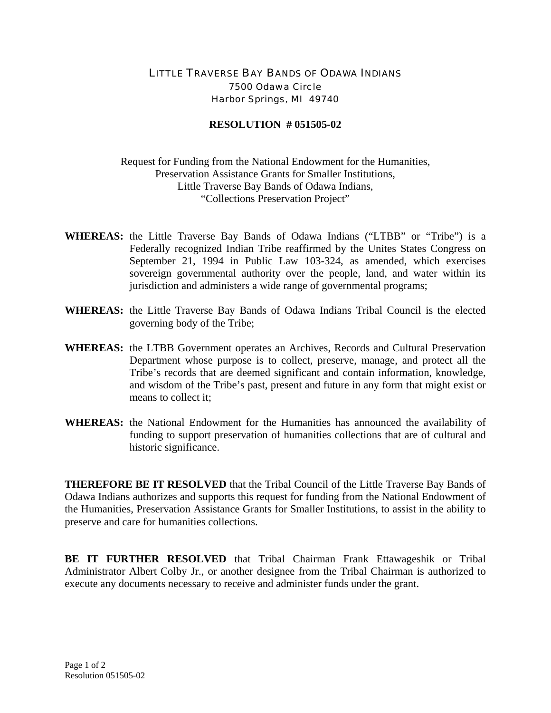## LITTLE TRAVERSE BAY BANDS OF ODAWA INDIANS 7500 Odawa Circle Harbor Springs, MI 49740

## **RESOLUTION # 051505-02**

Request for Funding from the National Endowment for the Humanities, Preservation Assistance Grants for Smaller Institutions, Little Traverse Bay Bands of Odawa Indians, "Collections Preservation Project"

- **WHEREAS:** the Little Traverse Bay Bands of Odawa Indians ("LTBB" or "Tribe") is a Federally recognized Indian Tribe reaffirmed by the Unites States Congress on September 21, 1994 in Public Law 103-324, as amended, which exercises sovereign governmental authority over the people, land, and water within its jurisdiction and administers a wide range of governmental programs;
- **WHEREAS:** the Little Traverse Bay Bands of Odawa Indians Tribal Council is the elected governing body of the Tribe;
- **WHEREAS:** the LTBB Government operates an Archives, Records and Cultural Preservation Department whose purpose is to collect, preserve, manage, and protect all the Tribe's records that are deemed significant and contain information, knowledge, and wisdom of the Tribe's past, present and future in any form that might exist or means to collect it;
- **WHEREAS:** the National Endowment for the Humanities has announced the availability of funding to support preservation of humanities collections that are of cultural and historic significance.

**THEREFORE BE IT RESOLVED** that the Tribal Council of the Little Traverse Bay Bands of Odawa Indians authorizes and supports this request for funding from the National Endowment of the Humanities, Preservation Assistance Grants for Smaller Institutions, to assist in the ability to preserve and care for humanities collections.

**BE IT FURTHER RESOLVED** that Tribal Chairman Frank Ettawageshik or Tribal Administrator Albert Colby Jr., or another designee from the Tribal Chairman is authorized to execute any documents necessary to receive and administer funds under the grant.